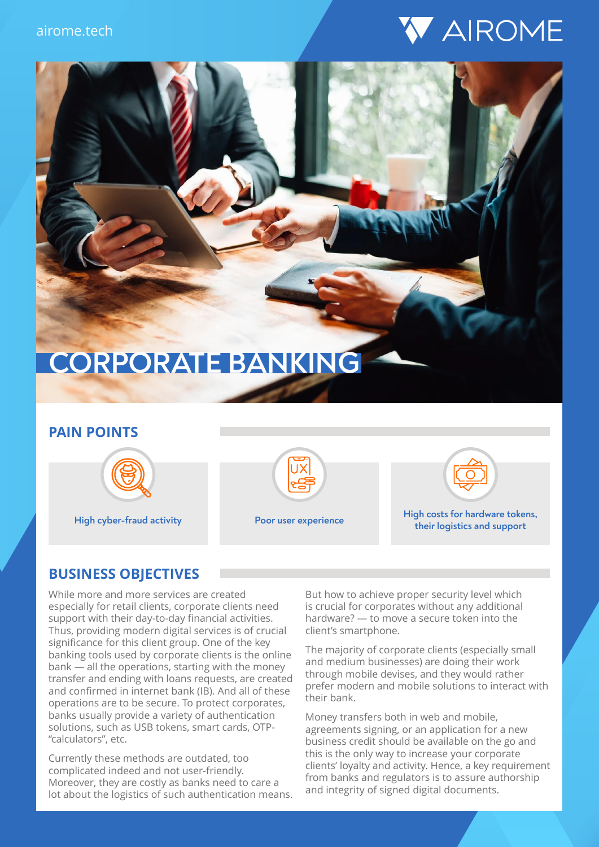



#### **PAIN POINTS**







**High cyber-fraud activity Poor user experience High costs for hardware tokens, their logistics and support**

#### **BUSINESS OBJECTIVES**

While more and more services are created especially for retail clients, corporate clients need support with their day-to-day financial activities. Thus, providing modern digital services is of crucial significance for this client group. One of the key banking tools used by corporate clients is the online bank — all the operations, starting with the money transfer and ending with loans requests, are created and confirmed in internet bank (IB). And all of these operations are to be secure. To protect corporates, banks usually provide a variety of authentication solutions, such as USB tokens, smart cards, OTP- "calculators", etc.

Currently these methods are outdated, too complicated indeed and not user-friendly. Moreover, they are costly as banks need to care a lot about the logistics of such authentication means. But how to achieve proper security level which is crucial for corporates without any additional hardware? — to move a secure token into the client's smartphone.

The majority of corporate clients (especially small and medium businesses) are doing their work through mobile devises, and they would rather prefer modern and mobile solutions to interact with their bank.

Money transfers both in web and mobile, agreements signing, or an application for a new business credit should be available on the go and this is the only way to increase your corporate clients' loyalty and activity. Hence, a key requirement from banks and regulators is to assure authorship and integrity of signed digital documents.